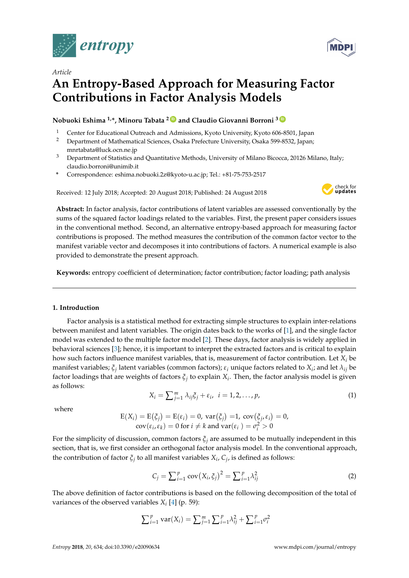

*Article*

# **An Entropy-Based Approach for Measuring Factor Contributions in Factor Analysis Models**

**Nobuoki Eshima 1,\*, Minoru Tabata <sup>2</sup> [ID](https://orcid.org/0000-0003-3876-7437) and Claudio Giovanni Borroni <sup>3</sup> [ID](https://orcid.org/0000-0003-1251-9988)**

- 1 Center for Educational Outreach and Admissions, Kyoto University, Kyoto 606-8501, Japan<br>2 Department of Mathematical Sciences, Osaka Prefecture University, Osaka 599-8532, Japan:
- <sup>2</sup> Department of Mathematical Sciences, Osaka Prefecture University, Osaka 599-8532, Japan; mnrtabata@luck.ocn.ne.jp
- <sup>3</sup> Department of Statistics and Quantitative Methods, University of Milano Bicocca, 20126 Milano, Italy; claudio.borroni@unimib.it
- **\*** Correspondence: eshima.nobuoki.2z@kyoto-u.ac.jp; Tel.: +81-75-753-2517

Received: 12 July 2018; Accepted: 20 August 2018; Published: 24 August 2018



**Abstract:** In factor analysis, factor contributions of latent variables are assessed conventionally by the sums of the squared factor loadings related to the variables. First, the present paper considers issues in the conventional method. Second, an alternative entropy-based approach for measuring factor contributions is proposed. The method measures the contribution of the common factor vector to the manifest variable vector and decomposes it into contributions of factors. A numerical example is also provided to demonstrate the present approach.

**Keywords:** entropy coefficient of determination; factor contribution; factor loading; path analysis

## **1. Introduction**

Factor analysis is a statistical method for extracting simple structures to explain inter-relations between manifest and latent variables. The origin dates back to the works of [\[1\]](#page-11-0), and the single factor model was extended to the multiple factor model [\[2\]](#page-11-1). These days, factor analysis is widely applied in behavioral sciences [\[3\]](#page-11-2); hence, it is important to interpret the extracted factors and is critical to explain how such factors influence manifest variables, that is, measurement of factor contribution. Let *X<sup>i</sup>* be manifest variables;  $\xi_j$  latent variables (common factors);  $\varepsilon_i$  unique factors related to  $X_i$ ; and let  $\lambda_{ij}$  be factor loadings that are weights of factors *ξ<sup>j</sup>* to explain *X<sup>i</sup>* . Then, the factor analysis model is given as follows:

$$
X_i = \sum_{j=1}^m \lambda_{ij} \xi_j + \varepsilon_i, \quad i = 1, 2, \dots, p,
$$
\n<sup>(1)</sup>

where

$$
E(X_i) = E(\xi_j) = E(\varepsilon_i) = 0, \text{ var}(\xi_j) = 1, \text{ cov}(\xi_j, \varepsilon_i) = 0, \\ \text{cov}(\varepsilon_i, \varepsilon_k) = 0 \text{ for } i \neq k \text{ and } \text{var}(\varepsilon_i) = \sigma_i^2 > 0
$$

For the simplicity of discussion, common factors *ξ<sup>j</sup>* are assumed to be mutually independent in this section, that is, we first consider an orthogonal factor analysis model. In the conventional approach, the contribution of factor *ξ<sup>j</sup>* to all manifest variables *X<sup>i</sup>* , *C<sup>j</sup>* , is defined as follows:

$$
C_j = \sum_{i=1}^p \text{cov}(X_i, \xi_j)^2 = \sum_{i=1}^p \lambda_{ij}^2
$$
 (2)

The above definition of factor contributions is based on the following decomposition of the total of variances of the observed variables *X<sup>i</sup>* [\[4\]](#page-11-3) (p. 59):

$$
\sum_{i=1}^{p} \text{var}(X_i) = \sum_{j=1}^{m} \sum_{i=1}^{p} \lambda_{ij}^{2} + \sum_{i=1}^{p} \sigma_i^{2}
$$

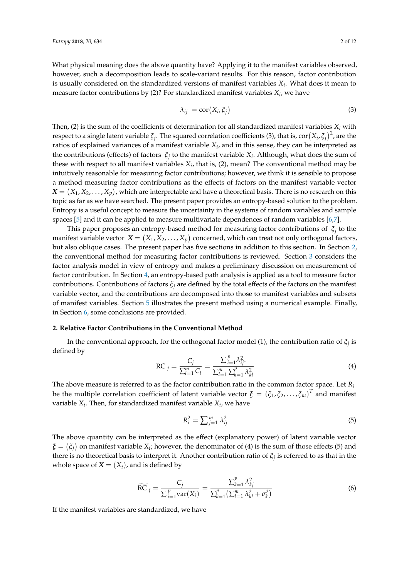What physical meaning does the above quantity have? Applying it to the manifest variables observed, however, such a decomposition leads to scale-variant results. For this reason, factor contribution is usually considered on the standardized versions of manifest variables *X<sup>i</sup>* . What does it mean to measure factor contributions by (2)? For standardized manifest variables *X<sup>i</sup>* , we have

$$
\lambda_{ij} = \text{cor}(X_i, \xi_j) \tag{3}
$$

Then, (2) is the sum of the coefficients of determination for all standardized manifest variables  $X_i$  with respect to a single latent variable  $\xi_j$ . The squared correlation coefficients (3), that is,  $\text{cor}(X_i,\xi_j)^2$ , are the ratios of explained variances of a manifest variable *X<sup>i</sup>* , and in this sense, they can be interpreted as the contributions (effects) of factors *ξ<sup>j</sup>* to the manifest variable *X<sup>i</sup>* . Although, what does the sum of these with respect to all manifest variables *X<sup>i</sup>* , that is, (2), mean? The conventional method may be intuitively reasonable for measuring factor contributions; however, we think it is sensible to propose a method measuring factor contributions as the effects of factors on the manifest variable vector  $\bm{X} = \big(X_1, X_2, \ldots, X_p\big)$ , which are interpretable and have a theoretical basis. There is no research on this topic as far as we have searched. The present paper provides an entropy-based solution to the problem. Entropy is a useful concept to measure the uncertainty in the systems of random variables and sample spaces [\[5\]](#page-11-4) and it can be applied to measure multivariate dependences of random variables [\[6](#page-11-5)[,7\]](#page-11-6).

This paper proposes an entropy-based method for measuring factor contributions of *ξ<sup>j</sup>* to the manifest variable vector  $\mathbf{X} = (X_1, X_2, \ldots, X_p)$  concerned, which can treat not only orthogonal factors, but also oblique cases. The present paper has five sections in addition to this section. In Section [2,](#page-1-0) the conventional method for measuring factor contributions is reviewed. Section [3](#page-2-0) considers the factor analysis model in view of entropy and makes a preliminary discussion on measurement of factor contribution. In Section [4,](#page-3-0) an entropy-based path analysis is applied as a tool to measure factor contributions. Contributions of factors *ξ<sup>j</sup>* are defined by the total effects of the factors on the manifest variable vector, and the contributions are decomposed into those to manifest variables and subsets of manifest variables. Section [5](#page-7-0) illustrates the present method using a numerical example. Finally, in Section [6,](#page-10-0) some conclusions are provided.

# <span id="page-1-0"></span>**2. Relative Factor Contributions in the Conventional Method**

In the conventional approach, for the orthogonal factor model (1), the contribution ratio of  $\xi_j$  is defined by

$$
RC_{j} = \frac{C_{j}}{\sum_{l=1}^{m} C_{l}} = \frac{\sum_{i=1}^{p} \lambda_{ij}^{2}}{\sum_{l=1}^{m} \sum_{k=1}^{p} \lambda_{kl}^{2}}
$$
(4)

The above measure is referred to as the factor contribution ratio in the common factor space. Let *R<sup>i</sup>* be the multiple correlation coefficient of latent variable vector  $\bm{\xi}=(\xi_1,\xi_2,\ldots,\xi_m)^T$  and manifest variable  $X_i$ . Then, for standardized manifest variable  $X_i$ , we have

$$
R_i^2 = \sum_{j=1}^m \lambda_{ij}^2 \tag{5}
$$

The above quantity can be interpreted as the effect (explanatory power) of latent variable vector  $\boldsymbol{\xi}=(\xi_j)$  on manifest variable  $X_i$ ; however, the denominator of (4) is the sum of those effects (5) and there is no theoretical basis to interpret it. Another contribution ratio of *ξ<sup>j</sup>* is referred to as that in the whole space of  $X = (X_i)$ , and is defined by

$$
\widetilde{RC}_{j} = \frac{C_{j}}{\sum_{i=1}^{p} \text{var}(X_{i})} = \frac{\sum_{k=1}^{p} \lambda_{kj}^{2}}{\sum_{k=1}^{p} (\sum_{l=1}^{m} \lambda_{kl}^{2} + \sigma_{k}^{2})}
$$
(6)

If the manifest variables are standardized, we have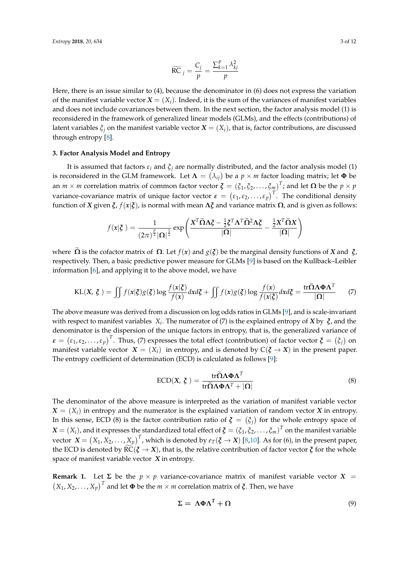$$
\widetilde{\text{RC}}_j = \frac{C_j}{p} = \frac{\sum_{k=1}^p \lambda_{kj}^2}{p}
$$

Here, there is an issue similar to (4), because the denominator in (6) does not express the variation of the manifest variable vector  $X = (X_i)$ . Indeed, it is the sum of the variances of manifest variables and does not include covariances between them. In the next section, the factor analysis model (1) is reconsidered in the framework of generalized linear models (GLMs), and the effects (contributions) of latent variables  $\xi$ <sup>*j*</sup> on the manifest variable vector  $X = (X_i)$ , that is, factor contributions, are discussed through entropy [\[8\]](#page-11-7).

## <span id="page-2-0"></span>**3. Factor Analysis Model and Entropy**

It is assumed that factors  $\varepsilon_i$  and  $\xi_j$  are normally distributed, and the factor analysis model (1) is reconsidered in the GLM framework. Let  $\bm{\Lambda} = (\lambda_{ij})$  be a  $p \times m$  factor loading matrix; let  $\bm{\Phi}$  be an  $m \times m$  correlation matrix of common factor vector  $\boldsymbol{\xi} = (\xi_1, \xi_2, \ldots, \xi_m)^T$ ; and let  $\boldsymbol{\Omega}$  be the  $p \times p$ variance-covariance matrix of unique factor vector  $\bm{\varepsilon}=\big(\varepsilon_1,\varepsilon_2,\ldots,\varepsilon_p\big)^T.$  The conditional density function of *X* given *ξ*, *f*(*x*|*ξ*), is normal with mean **Λ***ξ* and variance matrix **Ω**, and is given as follows:

$$
f(\mathbf{x}|\boldsymbol{\xi}) = \frac{1}{(2\pi)^{\frac{p}{2}}|\boldsymbol{\Omega}|^{\frac{1}{2}}} \exp\left(\frac{\mathbf{X}^T \widetilde{\boldsymbol{\Omega}} \Lambda \boldsymbol{\xi} - \frac{1}{2} \boldsymbol{\xi}^T \boldsymbol{\Lambda}^T \widetilde{\boldsymbol{\Omega}}^2 \boldsymbol{\Lambda} \boldsymbol{\xi}}{|\boldsymbol{\Omega}|} - \frac{\frac{1}{2}\mathbf{X}^T \widetilde{\boldsymbol{\Omega}} \mathbf{X}}{|\boldsymbol{\Omega}|}\right)
$$

where  $\Omega$  is the cofactor matrix of  $\Omega$ . Let  $f(x)$  and  $g(\zeta)$  be the marginal density functions of *X* and *ξ*, respectively. Then, a basic predictive power measure for GLMs [\[9\]](#page-11-8) is based on the Kullback–Leibler information [\[6\]](#page-11-5), and applying it to the above model, we have

$$
KL(X, \xi) = \iint f(x|\xi)g(\xi) \log \frac{f(x|\xi)}{f(x)} dx d\xi + \iint f(x)g(\xi) \log \frac{f(x)}{f(x|\xi)} dx d\xi = \frac{\text{tr}\widetilde{\Omega}\Lambda \Phi \Lambda^T}{|\Omega|} \tag{7}
$$

The above measure was derived from a discussion on log odds ratios in GLMs [\[9\]](#page-11-8), and is scale-invariant with respect to manifest variables *X<sup>i</sup>* . The numerator of (7) is the explained entropy of *X* by *ξ*, and the denominator is the dispersion of the unique factors in entropy, that is, the generalized variance of *ε* =  $(\varepsilon_1, \varepsilon_2, ..., \varepsilon_p)^T$ . Thus, (7) expresses the total effect (contribution) of factor vector  $\boldsymbol{\xi} = (\xi_j)$  on manifest variable vector  $X = (X_i)$  in entropy, and is denoted by  $C(\xi \rightarrow X)$  in the present paper. The entropy coefficient of determination (ECD) is calculated as follows [\[9\]](#page-11-8):

$$
ECD(X, \xi) = \frac{\operatorname{tr}\widetilde{\Omega}\Lambda\Phi\Lambda^{T}}{\operatorname{tr}\widetilde{\Omega}\Lambda\Phi\Lambda^{T} + |\Omega|}
$$
(8)

The denominator of the above measure is interpreted as the variation of manifest variable vector  $X = (X_i)$  in entropy and the numerator is the explained variation of random vector *X* in entropy. In this sense, ECD (8) is the factor contribution ratio of  $\zeta = (\zeta_j)$  for the whole entropy space of  $\bm{X}=(X_i)$ , and it expresses the standardized total effect of  $\bm{\xi}=(\xi_1,\xi_2,\ldots,\xi_m)^T$  on the manifest variable  $x$  vector  $\boldsymbol{X} = \big(X_1, X_2, \ldots, X_p\big)^T$ , which is denoted by  $e_T(\boldsymbol{\xi} \to \boldsymbol{X})$  [\[8](#page-11-7)[,10\]](#page-11-9). As for (6), in the present paper, the ECD is denoted by  $\widetilde{RC}(\xi \to X)$ , that is, the relative contribution of factor vector  $\xi$  for the whole space of manifest variable vector *X* in entropy.

**Remark 1.** Let  $\Sigma$  be the  $p \times p$  variance-covariance matrix of manifest variable vector  $X =$  $(X_1, X_2, \ldots, X_p)^T$  and let  $\Phi$  be the  $m \times m$  correlation matrix of  $\zeta$ . Then, we have

$$
\Sigma = \Lambda \Phi \Lambda^T + \Omega \tag{9}
$$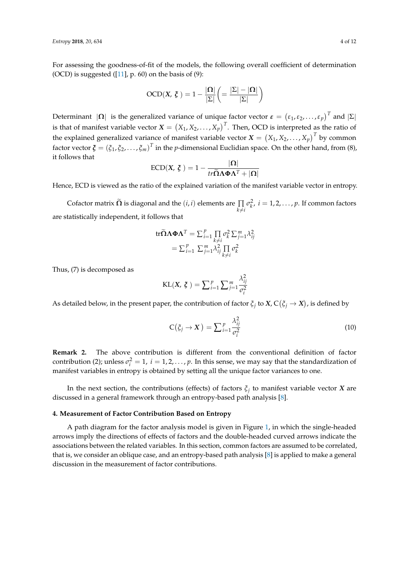For assessing the goodness-of-fit of the models, the following overall coefficient of determination (OCD) is suggested  $([11], p. 60)$  $([11], p. 60)$  $([11], p. 60)$  on the basis of  $(9)$ :

$$
\text{OCD}(X, \, \zeta \,) = 1 - \frac{|\Omega|}{|\Sigma|} \left( = \frac{|\Sigma| - |\Omega|}{|\Sigma|} \right)
$$

Determinant  $|\Omega|$  is the generalized variance of unique factor vector  $\epsilon = (\epsilon_1, \epsilon_2, \ldots, \epsilon_p)^T$  and  $|\Sigma|$ is that of manifest variable vector  $X = \left(X_1, X_2, \ldots, X_p\right)^T$ . Then, OCD is interpreted as the ratio of the explained generalized variance of manifest variable vector  $\boldsymbol{X}=\big(X_1, X_2, \ldots, X_p\big)^T$  by common factor vector  $\boldsymbol{\zeta}=(\xi_1,\xi_2,\ldots,\xi_m)^T$  in the *p*-dimensional Euclidian space. On the other hand, from (8), it follows that

$$
\text{ECD}(X, \xi) = 1 - \frac{|\Omega|}{tr \tilde{\Omega} \Lambda \Phi \Lambda^T + |\Omega|}
$$

Hence, ECD is viewed as the ratio of the explained variation of the manifest variable vector in entropy.

Cofactor matrix  $\tilde{\bf \Omega}$  is diagonal and the  $(i,i)$  elements are  $\prod\limits_{k\neq i}\sigma_k^2$ ,  $i=1,2,\ldots,p.$  If common factors are statistically independent, it follows that

tr
$$
\widetilde{\mathbf{\Omega}}\Lambda\boldsymbol{\Phi}\Lambda^{T} = \sum_{i=1}^{p} \prod_{k \neq i} \sigma_{k}^{2} \sum_{j=1}^{m} \lambda_{ij}^{2}
$$
  
=  $\sum_{i=1}^{p} \sum_{j=1}^{m} \lambda_{ij}^{2} \prod_{k \neq i} \sigma_{k}^{2}$ 

Thus, (7) is decomposed as

$$
KL(X, \xi) = \sum_{i=1}^{p} \sum_{j=1}^{m} \frac{\lambda_{ij}^2}{\sigma_i^2}
$$

As detailed below, in the present paper, the contribution of factor  $\xi_j$  to  $X$ ,  $C(\xi_j \to X)$ , is defined by

$$
C(\zeta_j \to X) = \sum_{i=1}^p \frac{\lambda_{ij}^2}{\sigma_i^2}
$$
 (10)

**Remark 2.** The above contribution is different from the conventional definition of factor contribution (2); unless  $\sigma_i^2 = 1$ ,  $i = 1, 2, ..., p$ . In this sense, we may say that the standardization of manifest variables in entropy is obtained by setting all the unique factor variances to one.

In the next section, the contributions (effects) of factors *ξ<sup>j</sup>* to manifest variable vector *X* are discussed in a general framework through an entropy-based path analysis [\[8\]](#page-11-7).

#### <span id="page-3-0"></span>**4. Measurement of Factor Contribution Based on Entropy**

A path diagram for the factor analysis model is given in Figure [1,](#page-4-0) in which the single-headed arrows imply the directions of effects of factors and the double-headed curved arrows indicate the associations between the related variables. In this section, common factors are assumed to be correlated, that is, we consider an oblique case, and an entropy-based path analysis [\[8\]](#page-11-7) is applied to make a general discussion in the measurement of factor contributions.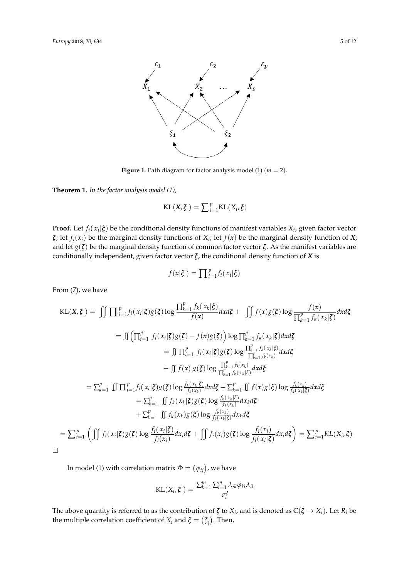<span id="page-4-0"></span>

**Figure 1.** Path diagram for factor analysis model (1)  $(m = 2)$ .

**Theorem 1.** *In the factor analysis model (1)*, **Theorem 1.** *In the factor analysis model (1),*

$$
KL(X, \xi) = \sum_{i=1}^{p} KL(X_i, \xi)
$$

 $\xi$ ; let  $f_i(x_i)$  be the marginal density functions of  $X_i$ ; let  $f(x)$  be the marginal density function of  $X$ ; and let  $g(\xi)$  be the marginal density function of common factor vector  $\xi$ . As the manifest variables are conditionally independent, given factor vector *ξ*, the conditional density function of *X* is **Proof.** Let  $f_i(x_i|\xi)$  be the conditional density functions of manifest variables  $X_i$ , given factor vector

$$
f(\mathbf{x}|\boldsymbol{\xi}) = \prod_{i=1}^p f_i(x_i|\boldsymbol{\xi})
$$

From (7), we have

From (7), we have (ࣈ|ݔ)݂ ඵෑ) = ࣈ ,ࢄ)KL ୀଵ (࢞)݂ log)ࣈ)݃(࢞)݂ඵ + ࣈ݀࢞݀ (࢞)݂ (ࣈ|ݔ)݂ ∏ ୀଵ (ࣈ|ݔ)݂ logෑ ቇ)ࣈ)݃(࢞)݂ − (ࣈ)݃ ୀଵ ࣈ݀࢞݀ (ࣈ|ݔ)݂ ඵෑ= ୀଵ (ࣈ|ݔ)݂ ∏ log)ࣈ)݃ ୀଵ (ݔ)݂ ∏ ୀଵ (ݔ)݂ ∏ log)ࣈ)݃(࢞)݂ඵ + ୀଵ (ࣈ|ݔ)݂ ∏ ୀଵ ࣈ݀࢞݀ (ࣈ|ݔ)݂ ඵෑ= (ࣈ|ݔ)݂ log)ࣈ)݃ ࣈ݀࢞݀ (ݔ)݂ log)ࣈ)݃(࢞)݂ඵ + (ࣈ|ݔ)݂ (ࣈ|ݔ)݂ log)ࣈ)݃(ࣈ|ݔ)݂ඵ= ࣈ݀ݔ݀ (ݔ)݂ KL(*X*, *ξ* ) = x ∏ *p i*=1 *fi*( *x<sup>i</sup>* <sup>|</sup>*ξ*)*g*(*ξ*)log <sup>∏</sup> *p k*=1 *fk*( *x<sup>k</sup>* |*ξ*) *f*(*x*) *dxdξ* + x *<sup>f</sup>*(*x*)*g*(*ξ*)log *<sup>f</sup>*(*x*) ∏ *p k*=1 *fk*( *x<sup>k</sup>* |*ξ*) *dxdξ* = s ∏ *p i*=1 *fi*( *x<sup>i</sup>* |*ξ*)*g*(*ξ*) − *f*(*x*)*g*(*ξ*) log ∏ *p k*=1 *fk*( *x<sup>k</sup>* |*ξ*)*dxdξ* = s ∏ *p i*=1 *fi*( *x<sup>i</sup>* <sup>|</sup>*ξ*)*g*(*ξ*)log <sup>∏</sup> *p k*=1 *fk* ( *x<sup>k</sup>* |*ξ*) ∏ *p k*=1 *fk* (*x<sup>k</sup>* ) *dxdξ* + s *<sup>f</sup>*(*x*) *<sup>g</sup>*(*ξ*)log <sup>∏</sup> *p k*=1 *fk* (*x<sup>k</sup>* ) ∏ *p k*=1 *fk* ( *x<sup>k</sup>* |*ξ*) *dxdξ* = ∑ *p k*=1 s ∏ *p i*=1 *fi*( *x<sup>i</sup>* |*ξ*)*g*(*ξ*)log *<sup>f</sup><sup>k</sup>* ( *x<sup>k</sup>* |*ξ*) *fk* (*x<sup>k</sup>* ) *dxdξ* + ∑ *p k*=1 s *<sup>f</sup>*(*x*)*g*(*ξ*)log *<sup>f</sup><sup>k</sup>* (*x<sup>k</sup>* ) *fk* ( *x<sup>k</sup>* |*ξ*) *dxdξ* = ∑ *p k*=1 s *fk*( *x<sup>k</sup>* |*ξ*)*g*(*ξ*)log *<sup>f</sup><sup>k</sup>* ( *x<sup>k</sup>* |*ξ*) *fk* (*x<sup>k</sup>* ) *dxkdξ* + ∑ *p k*=1 s *<sup>f</sup>k*(*xk*)*g*(*ξ*)log *<sup>f</sup><sup>k</sup>* (*x<sup>k</sup>* ) *fk* ( *x<sup>k</sup>* |*ξ*) *dxkdξ* = ∑ *p i*=1 x *fi*( *x<sup>i</sup>* <sup>|</sup>*ξ*)*g*(*ξ*)log *<sup>f</sup>i*( *<sup>x</sup><sup>i</sup>* |*ξ*) *fi*(*xi*) *dxidξ* + x *<sup>f</sup>i*(*xi*)*g*(*ξ*)log *<sup>f</sup>i*(*xi*) *fi*( *x<sup>i</sup>* |*ξ*) *dxidξ* = ∑ *p i*=1 *KL*(*X<sup>i</sup>* , *ξ*) 

In model (1) with correlation matrix  $\Phi = (\varphi_{ij})$ , we have

$$
\text{KL}(X_i, \xi) = \frac{\sum_{k=1}^{m} \sum_{l=1}^{m} \lambda_{ik} \varphi_{kl} \lambda_{il}}{\sigma_i^2}
$$

 $\Gamma$  model (1) with correlation matrix  $\Gamma$  with correlation matrix  $\Gamma$ The above quantity is referred to as the contribution of  $\zeta$  to  $X_i$ , and is denoted as  $C(\zeta \to X_i)$ . Let  $R_i$  be of  $X_i$  and  $\zeta = (\zeta_j)$ . Then, the multiple correlation coefficient of  $X_i$  and  $\boldsymbol{\xi} = (\xi_j)$ . Then,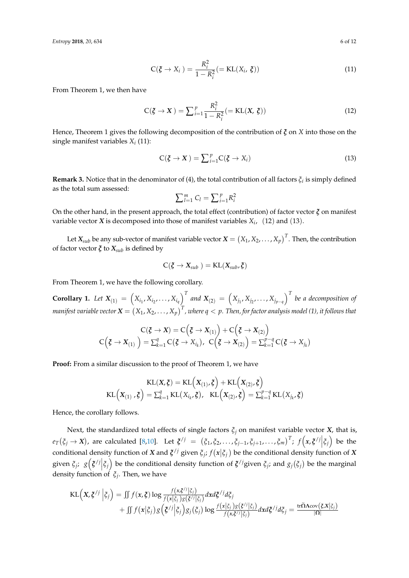*Entropy* **2018**, *20*, 634 6 of 12

$$
C(\boldsymbol{\xi} \to X_i) = \frac{R_i^2}{1 - R_i^2} (= KL(X_i, \boldsymbol{\xi}))
$$
\n(11)

From Theorem 1, we then have

$$
C(\xi \to X) = \sum_{i=1}^{p} \frac{R_i^2}{1 - R_i^2} (= KL(X, \xi))
$$
\n(12)

Hence, Theorem 1 gives the following decomposition of the contribution of *ξ* on *X* into those on the single manifest variables *X<sup>i</sup>* (11):

$$
C(\xi \to X) = \sum_{i=1}^{p} C(\xi \to X_i)
$$
\n(13)

**Remark 3.** Notice that in the denominator of (4), the total contribution of all factors  $\xi_i$  is simply defined as the total sum assessed:

$$
\sum_{l=1}^m C_l = \sum_{i=1}^p R_i^2
$$

On the other hand, in the present approach, the total effect (contribution) of factor vector *ξ* on manifest variable vector  $X$  is decomposed into those of manifest variables  $X_i$ ,  $(12)$  and  $(13)$ .

Let  $X_{sub}$  be any sub-vector of manifest variable vector  $X = \left(X_1, X_2, \ldots, X_p\right)^T$ . Then, the contribution of factor vector  $\zeta$  to  $X_{sub}$  is defined by

$$
\text{C}(\boldsymbol{\xi}\rightarrow X_{sub}^{})=\text{KL}(X_{sub},\boldsymbol{\xi})
$$

From Theorem 1, we have the following corollary.

**Corollary 1.** Let  $X_{(1)} = (X_{i_1}, X_{i_2},..., X_{i_q})^T$  and  $X_{(2)} = (X_{j_1}, X_{j_2},..., X_{j_{p-q}})^T$  be a decomposition of manifest variable vector  $X=\left(X_1,X_2,\ldots,X_p\right)^T$  , where  $q< p.$  Then, for factor analysis model (1), it follows that

$$
C(\xi \to X) = C(\xi \to X_{(1)}) + C(\xi \to X_{(2)})
$$
  

$$
C(\xi \to X_{(1)}) = \sum_{k=1}^{q} C(\xi \to X_{i_k}), \ C(\xi \to X_{(2)}) = \sum_{k=1}^{p-q} C(\xi \to X_{j_k})
$$

**Proof:** From a similar discussion to the proof of Theorem 1, we have

$$
\text{KL}(\mathbf{X}, \boldsymbol{\xi}) = \text{KL}\Big(\mathbf{X}_{(1)}, \boldsymbol{\xi}\Big) + \text{KL}\Big(\mathbf{X}_{(2)}, \boldsymbol{\xi}\Big)
$$
\n
$$
\text{KL}\Big(\mathbf{X}_{(1)}, \boldsymbol{\xi}\Big) = \sum_{k=1}^{q} \text{KL}\big(\mathbf{X}_{i_k}, \boldsymbol{\xi}\big), \quad \text{KL}\Big(\mathbf{X}_{(2)}, \boldsymbol{\xi}\Big) = \sum_{k=1}^{p-q} \text{KL}\big(\mathbf{X}_{j_k}, \boldsymbol{\xi}\big)
$$

Hence, the corollary follows.

Next, the standardized total effects of single factors  $\xi_j$  on manifest variable vector *X*, that is,  $e_T(\xi_j \to X)$ , are calculated [\[8,](#page-11-7)[10\]](#page-11-9). Let  $\xi^{/j} = (\xi_1, \xi_2, \ldots, \xi_{j-1}, \xi_{j+1}, \ldots, \xi_m)^T$ ;  $f(x, \xi^{/j} | \xi_j)$  be the conditional density function of *X* and  $\zeta^{j}$  given  $\xi_{j}$ ;  $f(x|\xi_{j})$  be the conditional density function of *X* given  $\xi_j$ ;  $g\left(\xi^{j}|\xi_j\right)$  be the conditional density function of  $\xi^{j}$  given  $\xi_j$ ; and  $g_j(\xi_j)$  be the marginal density function of *ξ<sup>j</sup>* . Then, we have

$$
\text{KL}\Big(X,\xi^{/j}\Big|\xi_j\Big) = \iint f(x,\xi)\log\frac{f(x,\xi^{/j}|\xi_j)}{f(x|\xi_j)g(\xi^{/j}|\xi_j)}dxd\xi^{/j}d\xi_j
$$
  
+ 
$$
\iint f(x|\xi_j)g\Big(\xi^{/j}\Big|\xi_j\Big)g_j(\xi_j)\log\frac{f(x|\xi_j)g(\xi^{/j}|\xi_j)}{f(x,\xi^{/j}|\xi_j)}dxd\xi^{/j}d\xi_j = \frac{\text{tr}\tilde{\Omega}\Lambda\text{cov}(\xi,X|\xi_j)}{|\Omega|}
$$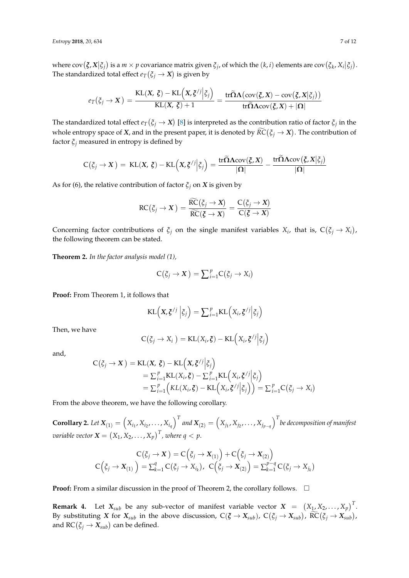where  $cov(\xi, X | \xi_j)$  is a  $m \times p$  covariance matrix given  $\xi_j$ , of which the  $(k, i)$  elements are  $cov(\xi_k, X_i | \xi_j)$ . The standardized total effect  $e_T(\xi_j \to X)$  is given by

$$
e_T(\xi_j \to X) = \frac{\mathrm{KL}(X, \xi) - \mathrm{KL}\Big(X, \xi^{/j} \Big| \xi_j\Big)}{\mathrm{KL}(X, \xi) + 1} = \frac{\mathrm{tr}\widetilde{\Omega}\Lambda(\mathrm{cov}(\xi, X) - \mathrm{cov}(\xi, X \Big| \xi_j))}{\mathrm{tr}\widetilde{\Omega}\Lambda\mathrm{cov}(\xi, X) + |\Omega|}
$$

The standardized total effect  $e_T(\xi_j\to X)$  [\[8\]](#page-11-7) is interpreted as the contribution ratio of factor  $\xi_j$  in the whole entropy space of *X*, and in the present paper, it is denoted by  $RC(\xi_j \rightarrow X)$ . The contribution of factor *ξ<sup>j</sup>* measured in entropy is defined by

$$
C(\xi_j \to X) = KL(X, \xi) - KL\Big(X, \xi^{/j} \Big| \xi_j\Big) = \frac{\mathrm{tr} \widetilde{\Omega} \Lambda \mathrm{cov}(\xi, X)}{|\Omega|} - \frac{\mathrm{tr} \widetilde{\Omega} \Lambda \mathrm{cov}(\xi, X| \xi_j)}{|\Omega|}
$$

As for (6), the relative contribution of factor  $\zeta_j$  on *X* is given by

$$
RC(\xi_j \to X) = \frac{\widetilde{RC}(\xi_j \to X)}{\widetilde{RC}(\xi \to X)} = \frac{C(\xi_j \to X)}{C(\xi \to X)}
$$

Concerning factor contributions of  $\xi_j$  on the single manifest variables  $X_i$ , that is,  $C(\xi_j \to X_i)$ , the following theorem can be stated.

**Theorem 2.** *In the factor analysis model (1),*

$$
C(\xi_j \to X) = \sum_{i=1}^p C(\xi_j \to X_i)
$$

**Proof:** From Theorem 1, it follows that

$$
KL(X, \zeta^{/j} | \zeta_j) = \sum_{i=1}^p KL(X_i, \zeta^{/j} | \zeta_j)
$$

Then, we have

$$
C(\xi_j \to X_i) = KL(X_i, \xi) - KL\Big(X_i, \xi^{/j} \Big| \xi_j \Big)
$$

and,

$$
C(\xi_j \to X) = KL(X, \xi) - KL\Big(X, \xi^{j}| \xi_j\Big)
$$
  
=  $\sum_{i=1}^p KL(X_i, \xi) - \sum_{i=1}^p KL\Big(X_i, \xi^{j}| \xi_j\Big)$   
=  $\sum_{i=1}^p \Big( KL(X_i, \xi) - KL\Big(X_i, \xi^{j}| \xi_j\Big) \Big) = \sum_{i=1}^p C(\xi_j \to X_i)$ 

From the above theorem, we have the following corollary.

**Corollary 2.** Let  $X_{(1)}=\left(X_{i_1},X_{i_2},\ldots,X_{i_q}\right)^T$  and  $X_{(2)}=\left(X_{j_1},X_{j_2},\ldots,X_{j_{p-q}}\right)^T$  be decomposition of manifest  $\mathit{variable vector} \ \mathbf{X} = \left( X_1, X_2, \ldots, X_p \right)^T$  , where  $q < p.$ 

$$
C(\xi_j \to X) = C(\xi_j \to X_{(1)}) + C(\xi_j \to X_{(2)})
$$
  

$$
C(\xi_j \to X_{(1)}) = \sum_{k=1}^q C(\xi_j \to X_{i_k}), \ C(\xi_j \to X_{(2)}) = \sum_{k=1}^{p-q} C(\xi_j \to X_{j_k})
$$

**Proof:** From a similar discussion in the proof of Theorem 2, the corollary follows. □

**Remark 4.** Let  $X_{sub}$  be any sub-vector of manifest variable vector  $X = (X_1, X_2, \ldots, X_p)^T$ . By substituting *X* for  $X_{sub}$  in the above discussion,  $C(\xi \to X_{sub})$ ,  $C(\xi_j \to X_{sub})$ ,  $\widetilde{RC}(\xi_j \to X_{sub})$ , and  $\mathsf{RC}(\xi_j \to X_{sub})$  can be defined.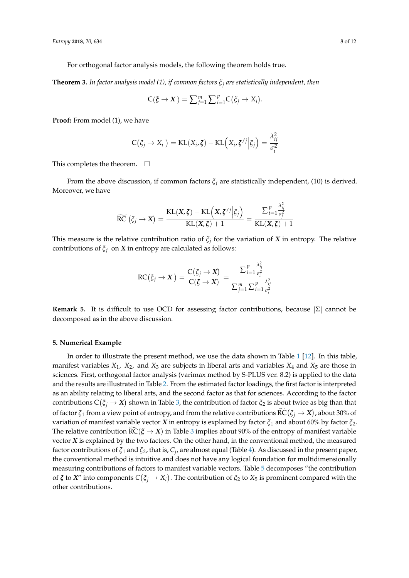For orthogonal factor analysis models, the following theorem holds true.

**Theorem 3.** *In factor analysis model (1), if common factors ξ<sup>j</sup> are statistically independent, then*

$$
C(\xi \to X) = \sum_{j=1}^m \sum_{i=1}^p C(\xi_j \to X_i).
$$

**Proof:** From model (1), we have

$$
C(\xi_j \to X_i) = KL(X_i, \xi) - KL\Big(X_i, \xi^{/j} \Big| \xi_j\Big) = \frac{\lambda_{ij}^2}{\sigma_i^2}
$$

This completes the theorem.  $\Box$ 

From the above discussion, if common factors  $\xi$ <sup>*j*</sup> are statistically independent, (10) is derived. Moreover, we have

$$
\widetilde{\mathrm{RC}}\left(\xi_j \to X\right) = \frac{\mathrm{KL}(X, \xi) - \mathrm{KL}\left(X, \xi^j / \left|\xi_j\right.\right)}{\mathrm{KL}(X, \xi) + 1} = \frac{\sum_{i=1}^p \frac{\lambda_{ij}^2}{\sigma_j^2}}{\mathrm{KL}(X, \xi) + 1}
$$

This measure is the relative contribution ratio of *ξ<sup>j</sup>* for the variation of *X* in entropy. The relative contributions of  $\xi$ <sup>*j*</sup> on *X* in entropy are calculated as follows:

$$
RC(\xi_j \to X) = \frac{C(\xi_j \to X)}{C(\xi \to X)} = \frac{\sum_{i=1}^p \frac{\lambda_{ij}^2}{\sigma_i^2}}{\sum_{j=1}^m \sum_{i=1}^p \frac{\lambda_{ij}^2}{\sigma_i^2}}
$$

**Remark 5.** It is difficult to use OCD for assessing factor contributions, because |Σ| cannot be decomposed as in the above discussion.

#### <span id="page-7-0"></span>**5. Numerical Example**

In order to illustrate the present method, we use the data shown in Table [1](#page-8-0) [\[12\]](#page-11-11). In this table, manifest variables  $X_1$ ,  $X_2$ , and  $X_3$  are subjects in liberal arts and variables  $X_4$  and  $X_5$  are those in sciences. First, orthogonal factor analysis (varimax method by S-PLUS ver. 8.2) is applied to the data and the results are illustrated in Table [2.](#page-8-1) From the estimated factor loadings, the first factor is interpreted as an ability relating to liberal arts, and the second factor as that for sciences. According to the factor  $\cot$ ributions  $C(\xi_j \to X)$  shown in Table [3,](#page-8-2) the contribution of factor  $\xi_2$  is about twice as big than that of factor  $\xi_1$  from a view point of entropy, and from the relative contributions  $\widetilde{RC}(\xi_j \to X)$ , about 30% of variation of manifest variable vector *X* in entropy is explained by factor *ξ*<sup>1</sup> and about 60% by factor *ξ*2. The relative contribution  $\tilde{RC}(\xi \to X)$  in Table [3](#page-8-2) implies about 90% of the entropy of manifest variable vector *X* is explained by the two factors. On the other hand, in the conventional method, the measured factor contributions of *ξ*<sup>1</sup> and *ξ*2, that is, *C<sup>j</sup>* , are almost equal (Table [4\)](#page-8-3). As discussed in the present paper, the conventional method is intuitive and does not have any logical foundation for multidimensionally measuring contributions of factors to manifest variable vectors. Table [5](#page-8-4) decomposes "the contribution of  $\xi$  to  $X''$  into components  $C(\xi_j \to X_i)$ . The contribution of  $\xi_2$  to  $X_5$  is prominent compared with the other contributions.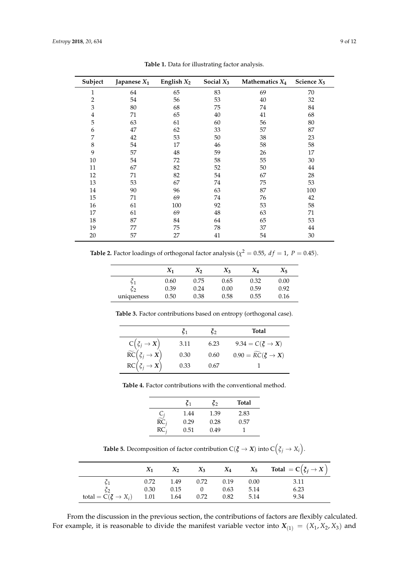<span id="page-8-0"></span>

| Subject                 | Japanese $X_1$ | English $X_2$ | Social $X_3$ | Mathematics $X_4$ | Science $X_5$ |
|-------------------------|----------------|---------------|--------------|-------------------|---------------|
| 1                       | 64             | 65            | 83           | 69                | 70            |
| $\overline{2}$          | 54             | 56            | 53           | 40                | 32            |
| 3                       | 80             | 68            | 75           | 74                | 84            |
| $\overline{\mathbf{4}}$ | 71             | 65            | 40           | 41                | 68            |
| 5                       | 63             | 61            | 60           | 56                | 80            |
| 6                       | 47             | 62            | 33           | 57                | 87            |
| 7                       | 42             | 53            | 50           | 38                | 23            |
| 8                       | 54             | 17            | 46           | 58                | 58            |
| 9                       | 57             | 48            | 59           | 26                | 17            |
| 10                      | 54             | 72            | 58           | 55                | 30            |
| 11                      | 67             | 82            | 52           | 50                | 44            |
| 12                      | 71             | 82            | 54           | 67                | 28            |
| 13                      | 53             | 67            | 74           | 75                | 53            |
| 14                      | 90             | 96            | 63           | 87                | 100           |
| 15                      | 71             | 69            | 74           | 76                | 42            |
| 16                      | 61             | 100           | 92           | 53                | 58            |
| 17                      | 61             | 69            | 48           | 63                | 71            |
| 18                      | 87             | 84            | 64           | 65                | 53            |
| 19                      | 77             | 75            | 78           | 37                | 44            |
| 20                      | 57             | 27            | 41           | 54                | 30            |

**Table 1.** Data for illustrating factor analysis.

<span id="page-8-1"></span>**Table 2.** Factor loadings of orthogonal factor analysis ( $\chi^2 = 0.55$ ,  $df = 1$ ,  $P = 0.45$ ).

|            | $X_1$ | $X_2$ | $X_3$ | $X_4$ | $X_5$ |
|------------|-------|-------|-------|-------|-------|
|            | 0.60  | 0.75  | 0.65  | 0.32  | 0.00  |
| $\zeta_2$  | 0.39  | 0.24  | 0.00  | 0.59  | 0.92  |
| uniqueness | 0.50  | 0.38  | 0.58  | 0.55  | 0.16  |

<span id="page-8-2"></span>**Table 3.** Factor contributions based on entropy (orthogonal case).

|                                                                                                | C1   | Č٥   | Total                                      |
|------------------------------------------------------------------------------------------------|------|------|--------------------------------------------|
|                                                                                                | 3.11 | 6.23 | $9.34 = C(\xi \rightarrow X)$              |
| $C(\xi_j \rightarrow X)$<br>$\widetilde{RC}(\xi_j \rightarrow X)$<br>$RC(\xi_j \rightarrow X)$ | 0.30 | 0.60 | $0.90 = \widetilde{RC}(\xi \rightarrow X)$ |
|                                                                                                | 0.33 | 0.67 |                                            |

<span id="page-8-3"></span>**Table 4.** Factor contributions with the conventional method.

|                                       | $\zeta_1$ | $\zeta_2$ | <b>Total</b> |
|---------------------------------------|-----------|-----------|--------------|
|                                       | 1.44      | 1.39      | 2.83         |
| $\frac{C_j}{\widetilde{\text{RC}}_j}$ | 0.29      | 0.28      | 0.57         |
| $RC_i$                                | 0.51      | 0.49      |              |

**Table 5.** Decomposition of factor contribution  $C(\boldsymbol{\xi} \rightarrow X)$  into  $C\left(\zeta_j \rightarrow X_i\right)$ .

<span id="page-8-4"></span>

|                                         | $X_1$ | $X_2$ |                             |      |      | $X_3$ $X_4$ $X_5$ Total $=C(\xi_j \to X)$ |
|-----------------------------------------|-------|-------|-----------------------------|------|------|-------------------------------------------|
|                                         |       |       | $0.72$ $1.49$ $0.72$ $0.19$ |      | 0.00 | 3.11                                      |
| $\zeta_2$                               | 0.30  | 0.15  | $\overline{0}$              | 0.63 | 5.14 | 6.23                                      |
| total = $C(\xi \to X_i)$ 1.01 1.64 0.72 |       |       |                             | 0.82 | 5.14 | 9.34                                      |

From the discussion in the previous section, the contributions of factors are flexibly calculated. For example, it is reasonable to divide the manifest variable vector into  $X_{(1)} = (X_1, X_2, X_3)$  and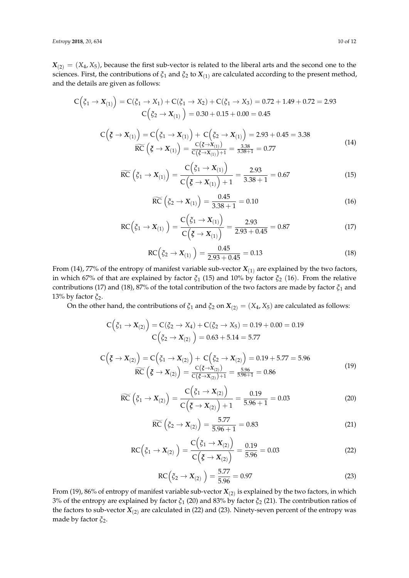$X_{(2)} = (X_4, X_5)$ , because the first sub-vector is related to the liberal arts and the second one to the sciences. First, the contributions of *ξ*<sup>1</sup> and *ξ*<sup>2</sup> to *X*(1) are calculated according to the present method, and the details are given as follows:

$$
C(\xi_1 \to X_{(1)}) = C(\xi_1 \to X_1) + C(\xi_1 \to X_2) + C(\xi_1 \to X_3) = 0.72 + 1.49 + 0.72 = 2.93
$$
  
\n
$$
C(\xi_2 \to X_{(1)}) = 0.30 + 0.15 + 0.00 = 0.45
$$
  
\n
$$
C(\xi \to X_{(1)}) = C(\xi_1 \to X_{(1)}) + C(\xi_2 \to X_{(1)}) = 2.93 + 0.45 = 3.38
$$
  
\n
$$
\widetilde{RC}(\xi \to X_{(1)}) = \frac{C(\xi \to X_{(1)})}{C(\xi \to X_{(1)}) + 1} = \frac{3.38}{3.38 + 1} = 0.77
$$
\n(14)

$$
\widetilde{RC}\left(\zeta_1 \to X_{(1)}\right) = \frac{C\left(\zeta_1 \to X_{(1)}\right)}{C\left(\zeta \to X_{(1)}\right) + 1} = \frac{2.93}{3.38 + 1} = 0.67\tag{15}
$$

$$
\widetilde{RC}\left(\xi_2 \to X_{(1)}\right) = \frac{0.45}{3.38 + 1} = 0.10\tag{16}
$$

$$
RC(\xi_1 \to X_{(1)}) = \frac{C(\xi_1 \to X_{(1)})}{C(\xi \to X_{(1)})} = \frac{2.93}{2.93 + 0.45} = 0.87
$$
\n(17)

$$
RC(\xi_2 \to X_{(1)}) = \frac{0.45}{2.93 + 0.45} = 0.13
$$
\n(18)

From (14), 77% of the entropy of manifest variable sub-vector  $X_{(1)}$  are explained by the two factors, in which 67% of that are explained by factor *ξ*<sup>1</sup> (15) and 10% by factor *ξ*<sup>2</sup> (16). From the relative contributions (17) and (18), 87% of the total contribution of the two factors are made by factor *ξ*<sup>1</sup> and 13% by factor *ξ*2.

On the other hand, the contributions of  $\xi_1$  and  $\xi_2$  on  $X_{(2)} = (X_4, X_5)$  are calculated as follows:

$$
C(\xi_1 \to X_{(2)}) = C(\xi_2 \to X_4) + C(\xi_2 \to X_5) = 0.19 + 0.00 = 0.19
$$
  

$$
C(\xi_2 \to X_{(2)}) = 0.63 + 5.14 = 5.77
$$

$$
C(\xi \to X_{(2)}) = C(\xi_1 \to X_{(2)}) + C(\xi_2 \to X_{(2)}) = 0.19 + 5.77 = 5.96
$$
  

$$
\widetilde{RC}(\xi \to X_{(2)}) = \frac{C(\xi \to X_{(2)})}{C(\xi \to X_{(2)}) + 1} = \frac{5.96}{5.96 + 1} = 0.86
$$
 (19)

$$
\widetilde{RC}\left(\zeta_1 \to X_{(2)}\right) = \frac{C\left(\zeta_1 \to X_{(2)}\right)}{C\left(\zeta \to X_{(2)}\right) + 1} = \frac{0.19}{5.96 + 1} = 0.03\tag{20}
$$

$$
\widetilde{RC}\left(\zeta_2 \to X_{(2)}\right) = \frac{5.77}{5.96 + 1} = 0.83\tag{21}
$$

$$
RC(\xi_1 \to X_{(2)}) = \frac{C(\xi_1 \to X_{(2)})}{C(\xi \to X_{(2)})} = \frac{0.19}{5.96} = 0.03
$$
\n(22)

$$
RC\left(\xi_2 \to X_{(2)}\right) = \frac{5.77}{5.96} = 0.97\tag{23}
$$

From (19), 86% of entropy of manifest variable sub-vector  $X_{(2)}$  is explained by the two factors, in which 3% of the entropy are explained by factor *ξ*<sup>1</sup> (20) and 83% by factor *ξ*<sup>2</sup> (21). The contribution ratios of the factors to sub-vector  $X_{(2)}$  are calculated in (22) and (23). Ninety-seven percent of the entropy was made by factor *ξ*2.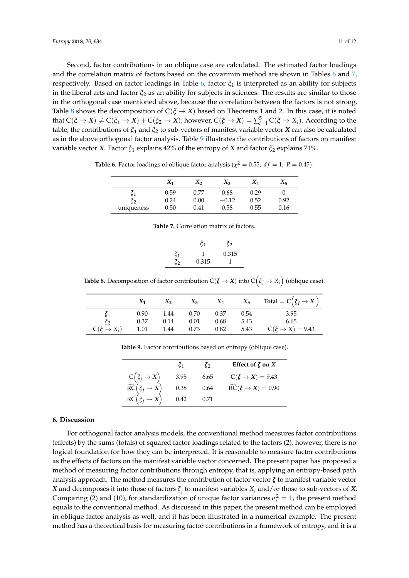Second, factor contributions in an oblique case are calculated. The estimated factor loadings and the correlation matrix of factors based on the covarimin method are shown in Tables [6](#page-10-1) and [7,](#page-10-2) respectively. Based on factor loadings in Table [6,](#page-10-1) factor *ξ*<sup>1</sup> is interpreted as an ability for subjects in the liberal arts and factor *ξ*<sup>2</sup> as an ability for subjects in sciences. The results are similar to those in the orthogonal case mentioned above, because the correlation between the factors is not strong. Table [8](#page-10-3) shows the decomposition of  $C(\zeta \to X)$  based on Theorems 1 and 2. In this case, it is noted that  $C(\xi \to X) \neq C(\xi_1 \to X) + C(\xi_2 \to X)$ ; however,  $C(\xi \to X) = \sum_{i=1}^{5} C(\xi \to X_i)$ . According to the table, the contributions of *ξ*<sup>1</sup> and *ξ*<sup>2</sup> to sub-vectors of manifest variable vector *X* can also be calculated as in the above orthogonal factor analysis. Table [9](#page-10-4) illustrates the contributions of factors on manifest variable vector *X*. Factor *ξ*<sup>1</sup> explains 42% of the entropy of *X* and factor *ξ*<sup>2</sup> explains 71%.

*X***<sup>1</sup>** *X***<sup>2</sup>** *X***<sup>3</sup>** *X***<sup>4</sup>** *X***<sup>5</sup>**

<span id="page-10-1"></span>**Table 6.** Factor loadings of oblique factor analysis ( $\chi^2 = 0.55$ ,  $df = 1$ ,  $P = 0.45$ ).

|            | $X_1$ | $X_2$ | $X_3$   | AΔ   | $X_5$ |
|------------|-------|-------|---------|------|-------|
|            | 0.59  | 0.77  | 0.68    | 0.29 |       |
|            | 0.24  | 0.00  | $-0.12$ | 0.52 | 0.92  |
| uniqueness | 0.50  | 0.41  | 0.58    | 0.55 | 0.16  |

**Table 7.** Correlation matrix of factors.

|                                | ζ1    | $\boldsymbol{\xi}_2$ |
|--------------------------------|-------|----------------------|
| $\tilde{\zeta}_1$<br>$\zeta_2$ | 0.315 | 0.315                |

<span id="page-10-3"></span><span id="page-10-2"></span>**Table 8.** Decomposition of factor contribution C( $\zeta \to X$ ) into C $(\zeta_j \to X_i)$  (oblique case).

<span id="page-10-4"></span>

|                          | $X_1$ | $X_2$ |      | $X_3$ $X_4$ |      | $X_5$ Total = $C(\xi_j \to X)$ |
|--------------------------|-------|-------|------|-------------|------|--------------------------------|
| $\zeta_1$                | 0.90  | 1.44  | 0.70 | 0.37        | 0.54 | 3.95                           |
| $\zeta_2$                | 0.37  | 0.14  | 0.01 | 0.68        | 5.43 | 6.65                           |
| $C(\xi \rightarrow X_i)$ | 1.01  | 1.44  | 0.73 | 0.82        | 5.43 | $C(\xi \rightarrow X) = 9.43$  |

**Table 9.** Factor contributions based on entropy (oblique case).

|                                                   | ζ1   | ζ    | Effect of $\xi$ on $X$                     |
|---------------------------------------------------|------|------|--------------------------------------------|
| $C(\xi_j \rightarrow X)$                          | 3.95 | 6.65 | $C(\xi \rightarrow X) = 9.43$              |
| $\widetilde{RC}(\vec{\xi}_j \rightarrow \vec{X})$ | 0.38 | 0.64 | $\widetilde{RC}(\xi \rightarrow X) = 0.90$ |
| $RC(\xi_j \rightarrow X)$                         | 0.42 | 0.71 |                                            |

### <span id="page-10-0"></span>**6. Discussion**

For orthogonal factor analysis models, the conventional method measures factor contributions (effects) by the sums (totals) of squared factor loadings related to the factors (2); however, there is no logical foundation for how they can be interpreted. It is reasonable to measure factor contributions as the effects of factors on the manifest variable vector concerned. The present paper has proposed a method of measuring factor contributions through entropy, that is, applying an entropy-based path analysis approach. The method measures the contribution of factor vector *ξ* to manifest variable vector *X* and decomposes it into those of factors *ξ<sup>j</sup>* to manifest variables *X<sup>i</sup>* and/or those to sub-vectors of *X*. Comparing (2) and (10), for standardization of unique factor variances  $\sigma_i^2 = 1$ , the present method equals to the conventional method. As discussed in this paper, the present method can be employed in oblique factor analysis as well, and it has been illustrated in a numerical example. The present method has a theoretical basis for measuring factor contributions in a framework of entropy, and it is a